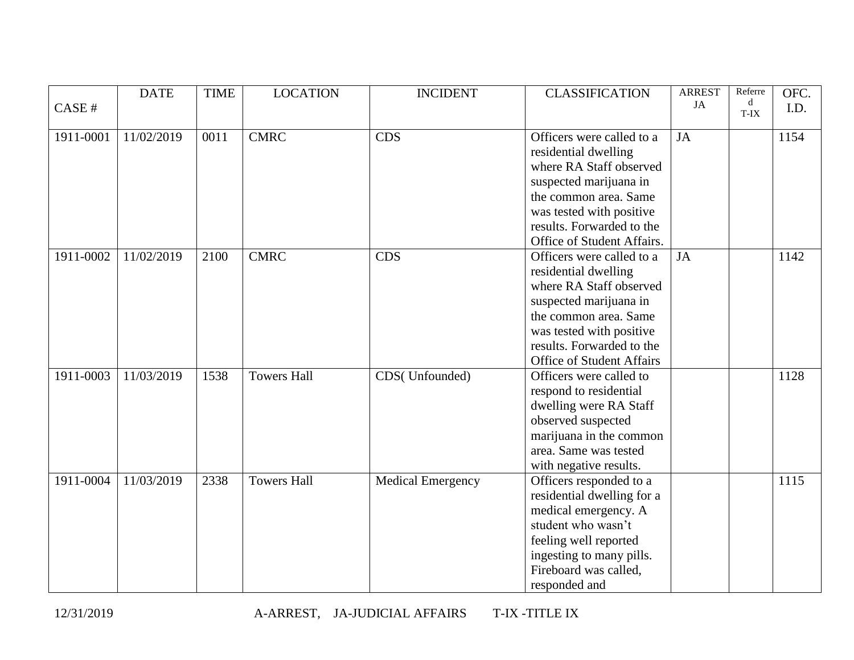|           | <b>DATE</b> | <b>TIME</b> | <b>LOCATION</b>    | <b>INCIDENT</b>          | <b>CLASSIFICATION</b>            | <b>ARREST</b> | Referre   | OFC. |
|-----------|-------------|-------------|--------------------|--------------------------|----------------------------------|---------------|-----------|------|
| CASE #    |             |             |                    |                          |                                  | JA            | d<br>T-IX | I.D. |
|           |             |             |                    |                          |                                  |               |           |      |
| 1911-0001 | 11/02/2019  | 0011        | <b>CMRC</b>        | <b>CDS</b>               | Officers were called to a        | <b>JA</b>     |           | 1154 |
|           |             |             |                    |                          | residential dwelling             |               |           |      |
|           |             |             |                    |                          | where RA Staff observed          |               |           |      |
|           |             |             |                    |                          | suspected marijuana in           |               |           |      |
|           |             |             |                    |                          | the common area. Same            |               |           |      |
|           |             |             |                    |                          | was tested with positive         |               |           |      |
|           |             |             |                    |                          | results. Forwarded to the        |               |           |      |
|           |             |             |                    |                          | Office of Student Affairs.       |               |           |      |
| 1911-0002 | 11/02/2019  | 2100        | <b>CMRC</b>        | <b>CDS</b>               | Officers were called to a        | JA            |           | 1142 |
|           |             |             |                    |                          | residential dwelling             |               |           |      |
|           |             |             |                    |                          | where RA Staff observed          |               |           |      |
|           |             |             |                    |                          | suspected marijuana in           |               |           |      |
|           |             |             |                    |                          | the common area. Same            |               |           |      |
|           |             |             |                    |                          | was tested with positive         |               |           |      |
|           |             |             |                    |                          | results. Forwarded to the        |               |           |      |
|           |             |             |                    |                          | <b>Office of Student Affairs</b> |               |           |      |
| 1911-0003 | 11/03/2019  | 1538        | <b>Towers Hall</b> | CDS(Unfounded)           | Officers were called to          |               |           | 1128 |
|           |             |             |                    |                          | respond to residential           |               |           |      |
|           |             |             |                    |                          | dwelling were RA Staff           |               |           |      |
|           |             |             |                    |                          | observed suspected               |               |           |      |
|           |             |             |                    |                          | marijuana in the common          |               |           |      |
|           |             |             |                    |                          | area. Same was tested            |               |           |      |
|           |             |             |                    |                          | with negative results.           |               |           |      |
| 1911-0004 | 11/03/2019  | 2338        | <b>Towers Hall</b> | <b>Medical Emergency</b> | Officers responded to a          |               |           | 1115 |
|           |             |             |                    |                          | residential dwelling for a       |               |           |      |
|           |             |             |                    |                          | medical emergency. A             |               |           |      |
|           |             |             |                    |                          | student who wasn't               |               |           |      |
|           |             |             |                    |                          | feeling well reported            |               |           |      |
|           |             |             |                    |                          | ingesting to many pills.         |               |           |      |
|           |             |             |                    |                          | Fireboard was called,            |               |           |      |
|           |             |             |                    |                          | responded and                    |               |           |      |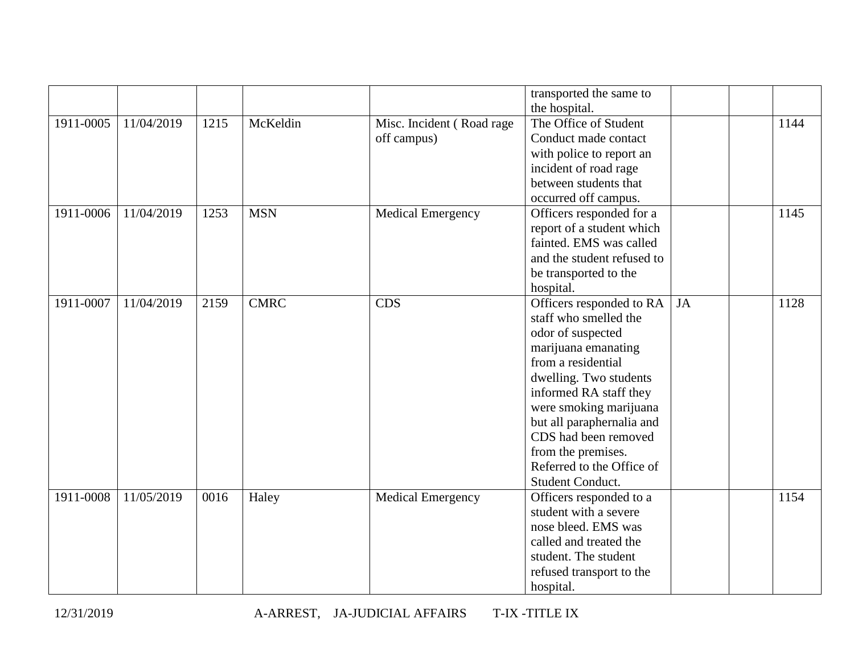|           |            |      |             |                           | transported the same to    |           |      |
|-----------|------------|------|-------------|---------------------------|----------------------------|-----------|------|
|           |            |      |             |                           | the hospital.              |           |      |
| 1911-0005 | 11/04/2019 | 1215 | McKeldin    | Misc. Incident (Road rage | The Office of Student      |           | 1144 |
|           |            |      |             | off campus)               | Conduct made contact       |           |      |
|           |            |      |             |                           | with police to report an   |           |      |
|           |            |      |             |                           | incident of road rage      |           |      |
|           |            |      |             |                           | between students that      |           |      |
|           |            |      |             |                           | occurred off campus.       |           |      |
| 1911-0006 | 11/04/2019 | 1253 | <b>MSN</b>  | <b>Medical Emergency</b>  | Officers responded for a   |           | 1145 |
|           |            |      |             |                           | report of a student which  |           |      |
|           |            |      |             |                           | fainted. EMS was called    |           |      |
|           |            |      |             |                           | and the student refused to |           |      |
|           |            |      |             |                           | be transported to the      |           |      |
|           |            |      |             |                           | hospital.                  |           |      |
| 1911-0007 | 11/04/2019 | 2159 | <b>CMRC</b> | <b>CDS</b>                | Officers responded to RA   | <b>JA</b> | 1128 |
|           |            |      |             |                           | staff who smelled the      |           |      |
|           |            |      |             |                           | odor of suspected          |           |      |
|           |            |      |             |                           | marijuana emanating        |           |      |
|           |            |      |             |                           | from a residential         |           |      |
|           |            |      |             |                           | dwelling. Two students     |           |      |
|           |            |      |             |                           | informed RA staff they     |           |      |
|           |            |      |             |                           | were smoking marijuana     |           |      |
|           |            |      |             |                           | but all paraphernalia and  |           |      |
|           |            |      |             |                           | CDS had been removed       |           |      |
|           |            |      |             |                           | from the premises.         |           |      |
|           |            |      |             |                           | Referred to the Office of  |           |      |
|           |            |      |             |                           | Student Conduct.           |           |      |
| 1911-0008 | 11/05/2019 | 0016 | Haley       | <b>Medical Emergency</b>  | Officers responded to a    |           | 1154 |
|           |            |      |             |                           | student with a severe      |           |      |
|           |            |      |             |                           | nose bleed. EMS was        |           |      |
|           |            |      |             |                           | called and treated the     |           |      |
|           |            |      |             |                           | student. The student       |           |      |
|           |            |      |             |                           | refused transport to the   |           |      |
|           |            |      |             |                           | hospital.                  |           |      |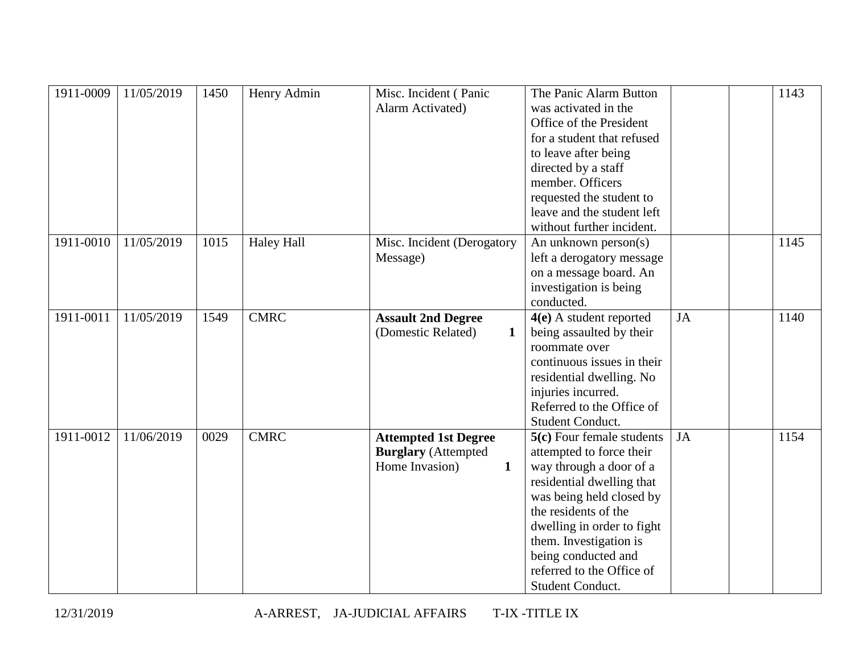| 1911-0009 | 11/05/2019 | 1450 | Henry Admin       | Misc. Incident (Panic          | The Panic Alarm Button      |           | 1143 |
|-----------|------------|------|-------------------|--------------------------------|-----------------------------|-----------|------|
|           |            |      |                   | Alarm Activated)               | was activated in the        |           |      |
|           |            |      |                   |                                | Office of the President     |           |      |
|           |            |      |                   |                                | for a student that refused  |           |      |
|           |            |      |                   |                                | to leave after being        |           |      |
|           |            |      |                   |                                | directed by a staff         |           |      |
|           |            |      |                   |                                | member. Officers            |           |      |
|           |            |      |                   |                                | requested the student to    |           |      |
|           |            |      |                   |                                | leave and the student left  |           |      |
|           |            |      |                   |                                | without further incident.   |           |      |
| 1911-0010 | 11/05/2019 | 1015 | <b>Haley Hall</b> | Misc. Incident (Derogatory     | An unknown person(s)        |           | 1145 |
|           |            |      |                   | Message)                       | left a derogatory message   |           |      |
|           |            |      |                   |                                | on a message board. An      |           |      |
|           |            |      |                   |                                | investigation is being      |           |      |
|           |            |      |                   |                                | conducted.                  |           |      |
| 1911-0011 | 11/05/2019 | 1549 | <b>CMRC</b>       | <b>Assault 2nd Degree</b>      | $4(e)$ A student reported   | <b>JA</b> | 1140 |
|           |            |      |                   | (Domestic Related)<br>1        | being assaulted by their    |           |      |
|           |            |      |                   |                                | roommate over               |           |      |
|           |            |      |                   |                                | continuous issues in their  |           |      |
|           |            |      |                   |                                | residential dwelling. No    |           |      |
|           |            |      |                   |                                | injuries incurred.          |           |      |
|           |            |      |                   |                                | Referred to the Office of   |           |      |
|           |            |      |                   |                                | Student Conduct.            |           |      |
| 1911-0012 | 11/06/2019 | 0029 | <b>CMRC</b>       | <b>Attempted 1st Degree</b>    | $5(c)$ Four female students | <b>JA</b> | 1154 |
|           |            |      |                   | <b>Burglary</b> (Attempted     | attempted to force their    |           |      |
|           |            |      |                   | Home Invasion)<br>$\mathbf{1}$ | way through a door of a     |           |      |
|           |            |      |                   |                                | residential dwelling that   |           |      |
|           |            |      |                   |                                | was being held closed by    |           |      |
|           |            |      |                   |                                | the residents of the        |           |      |
|           |            |      |                   |                                | dwelling in order to fight  |           |      |
|           |            |      |                   |                                | them. Investigation is      |           |      |
|           |            |      |                   |                                | being conducted and         |           |      |
|           |            |      |                   |                                | referred to the Office of   |           |      |
|           |            |      |                   |                                | Student Conduct.            |           |      |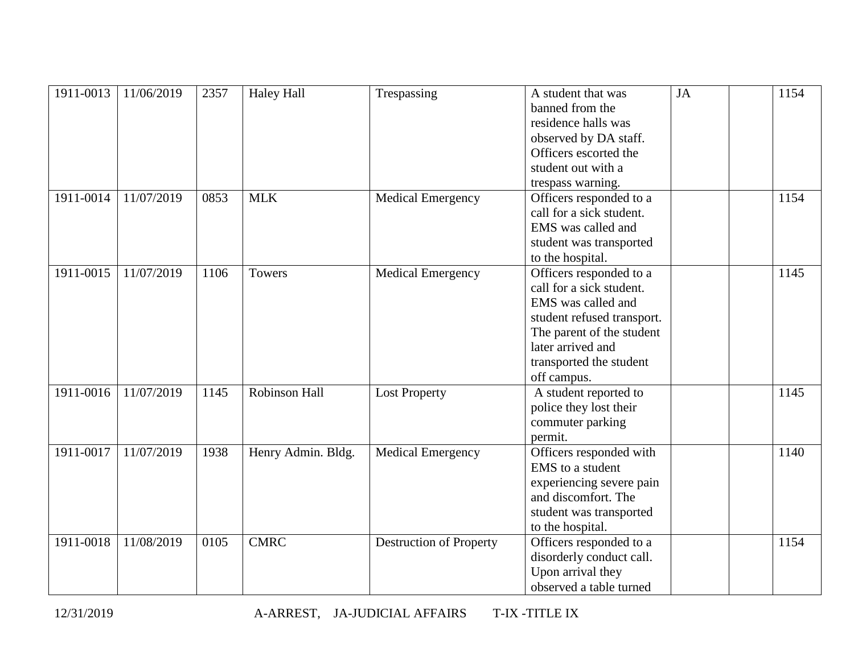| 1911-0013 | 11/06/2019 | 2357 | <b>Haley Hall</b>    | Trespassing                    | A student that was<br>banned from the<br>residence halls was<br>observed by DA staff.<br>Officers escorted the<br>student out with a<br>trespass warning.                                           | <b>JA</b> | 1154 |
|-----------|------------|------|----------------------|--------------------------------|-----------------------------------------------------------------------------------------------------------------------------------------------------------------------------------------------------|-----------|------|
| 1911-0014 | 11/07/2019 | 0853 | <b>MLK</b>           | <b>Medical Emergency</b>       | Officers responded to a<br>call for a sick student.<br>EMS was called and<br>student was transported<br>to the hospital.                                                                            |           | 1154 |
| 1911-0015 | 11/07/2019 | 1106 | <b>Towers</b>        | <b>Medical Emergency</b>       | Officers responded to a<br>call for a sick student.<br>EMS was called and<br>student refused transport.<br>The parent of the student<br>later arrived and<br>transported the student<br>off campus. |           | 1145 |
| 1911-0016 | 11/07/2019 | 1145 | <b>Robinson Hall</b> | <b>Lost Property</b>           | A student reported to<br>police they lost their<br>commuter parking<br>permit.                                                                                                                      |           | 1145 |
| 1911-0017 | 11/07/2019 | 1938 | Henry Admin. Bldg.   | <b>Medical Emergency</b>       | Officers responded with<br>EMS to a student<br>experiencing severe pain<br>and discomfort. The<br>student was transported<br>to the hospital.                                                       |           | 1140 |
| 1911-0018 | 11/08/2019 | 0105 | <b>CMRC</b>          | <b>Destruction of Property</b> | Officers responded to a<br>disorderly conduct call.<br>Upon arrival they<br>observed a table turned                                                                                                 |           | 1154 |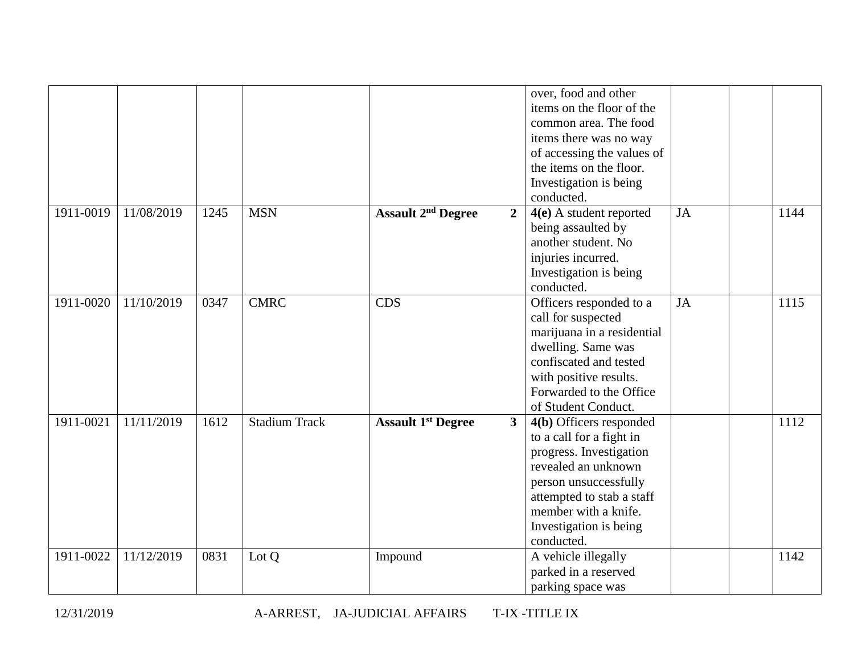|           |            |      |                      |                                                        | over, food and other       |           |      |
|-----------|------------|------|----------------------|--------------------------------------------------------|----------------------------|-----------|------|
|           |            |      |                      |                                                        | items on the floor of the  |           |      |
|           |            |      |                      |                                                        | common area. The food      |           |      |
|           |            |      |                      |                                                        | items there was no way     |           |      |
|           |            |      |                      |                                                        | of accessing the values of |           |      |
|           |            |      |                      |                                                        | the items on the floor.    |           |      |
|           |            |      |                      |                                                        | Investigation is being     |           |      |
|           |            |      |                      |                                                        | conducted.                 |           |      |
| 1911-0019 | 11/08/2019 | 1245 | <b>MSN</b>           | <b>Assault 2<sup>nd</sup> Degree</b><br>$\overline{2}$ | 4(e) A student reported    | <b>JA</b> | 1144 |
|           |            |      |                      |                                                        | being assaulted by         |           |      |
|           |            |      |                      |                                                        | another student. No        |           |      |
|           |            |      |                      |                                                        | injuries incurred.         |           |      |
|           |            |      |                      |                                                        | Investigation is being     |           |      |
|           |            |      |                      |                                                        | conducted.                 |           |      |
| 1911-0020 | 11/10/2019 | 0347 | <b>CMRC</b>          | <b>CDS</b>                                             | Officers responded to a    | <b>JA</b> | 1115 |
|           |            |      |                      |                                                        | call for suspected         |           |      |
|           |            |      |                      |                                                        | marijuana in a residential |           |      |
|           |            |      |                      |                                                        | dwelling. Same was         |           |      |
|           |            |      |                      |                                                        | confiscated and tested     |           |      |
|           |            |      |                      |                                                        | with positive results.     |           |      |
|           |            |      |                      |                                                        | Forwarded to the Office    |           |      |
|           |            |      |                      |                                                        | of Student Conduct.        |           |      |
| 1911-0021 | 11/11/2019 | 1612 | <b>Stadium Track</b> | <b>Assault 1st Degree</b><br>3 <sup>1</sup>            | 4(b) Officers responded    |           | 1112 |
|           |            |      |                      |                                                        | to a call for a fight in   |           |      |
|           |            |      |                      |                                                        | progress. Investigation    |           |      |
|           |            |      |                      |                                                        | revealed an unknown        |           |      |
|           |            |      |                      |                                                        | person unsuccessfully      |           |      |
|           |            |      |                      |                                                        | attempted to stab a staff  |           |      |
|           |            |      |                      |                                                        | member with a knife.       |           |      |
|           |            |      |                      |                                                        | Investigation is being     |           |      |
|           |            |      |                      |                                                        | conducted.                 |           |      |
| 1911-0022 | 11/12/2019 | 0831 | Lot Q                | Impound                                                | A vehicle illegally        |           | 1142 |
|           |            |      |                      |                                                        | parked in a reserved       |           |      |
|           |            |      |                      |                                                        | parking space was          |           |      |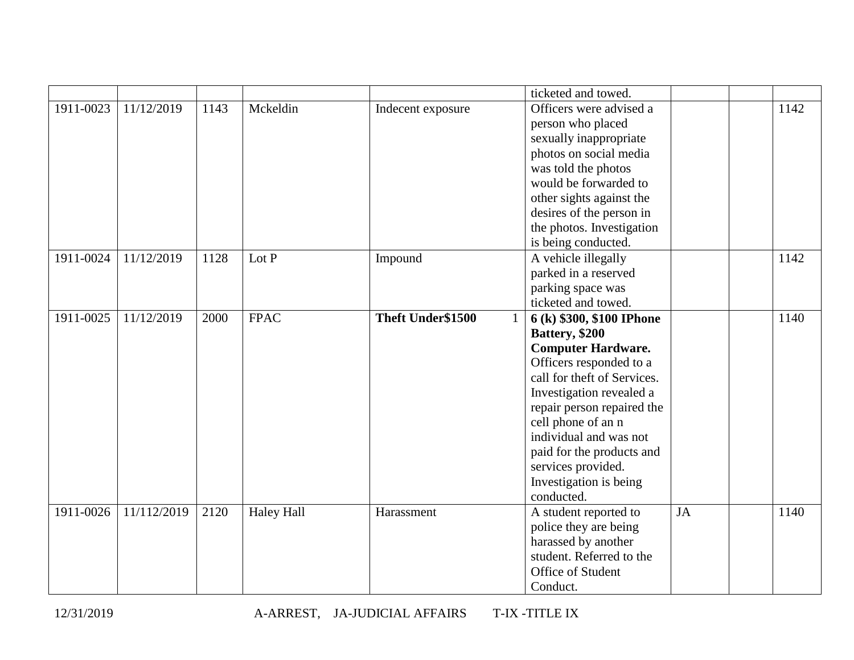|           |             |      |                   |                        | ticketed and towed.         |           |      |
|-----------|-------------|------|-------------------|------------------------|-----------------------------|-----------|------|
| 1911-0023 | 11/12/2019  | 1143 | Mckeldin          | Indecent exposure      | Officers were advised a     |           | 1142 |
|           |             |      |                   |                        | person who placed           |           |      |
|           |             |      |                   |                        | sexually inappropriate      |           |      |
|           |             |      |                   |                        | photos on social media      |           |      |
|           |             |      |                   |                        | was told the photos         |           |      |
|           |             |      |                   |                        | would be forwarded to       |           |      |
|           |             |      |                   |                        | other sights against the    |           |      |
|           |             |      |                   |                        | desires of the person in    |           |      |
|           |             |      |                   |                        | the photos. Investigation   |           |      |
|           |             |      |                   |                        | is being conducted.         |           |      |
| 1911-0024 | 11/12/2019  | 1128 | Lot P             | Impound                | A vehicle illegally         |           | 1142 |
|           |             |      |                   |                        | parked in a reserved        |           |      |
|           |             |      |                   |                        | parking space was           |           |      |
|           |             |      |                   |                        | ticketed and towed.         |           |      |
| 1911-0025 | 11/12/2019  | 2000 | <b>FPAC</b>       | Theft Under\$1500<br>1 | 6 (k) \$300, \$100 IPhone   |           | 1140 |
|           |             |      |                   |                        | Battery, \$200              |           |      |
|           |             |      |                   |                        | <b>Computer Hardware.</b>   |           |      |
|           |             |      |                   |                        | Officers responded to a     |           |      |
|           |             |      |                   |                        | call for theft of Services. |           |      |
|           |             |      |                   |                        | Investigation revealed a    |           |      |
|           |             |      |                   |                        | repair person repaired the  |           |      |
|           |             |      |                   |                        | cell phone of an n          |           |      |
|           |             |      |                   |                        | individual and was not      |           |      |
|           |             |      |                   |                        | paid for the products and   |           |      |
|           |             |      |                   |                        | services provided.          |           |      |
|           |             |      |                   |                        | Investigation is being      |           |      |
|           |             |      |                   |                        | conducted.                  |           |      |
| 1911-0026 | 11/112/2019 | 2120 | <b>Haley Hall</b> | Harassment             | A student reported to       | <b>JA</b> | 1140 |
|           |             |      |                   |                        | police they are being       |           |      |
|           |             |      |                   |                        | harassed by another         |           |      |
|           |             |      |                   |                        | student. Referred to the    |           |      |
|           |             |      |                   |                        | Office of Student           |           |      |
|           |             |      |                   |                        | Conduct.                    |           |      |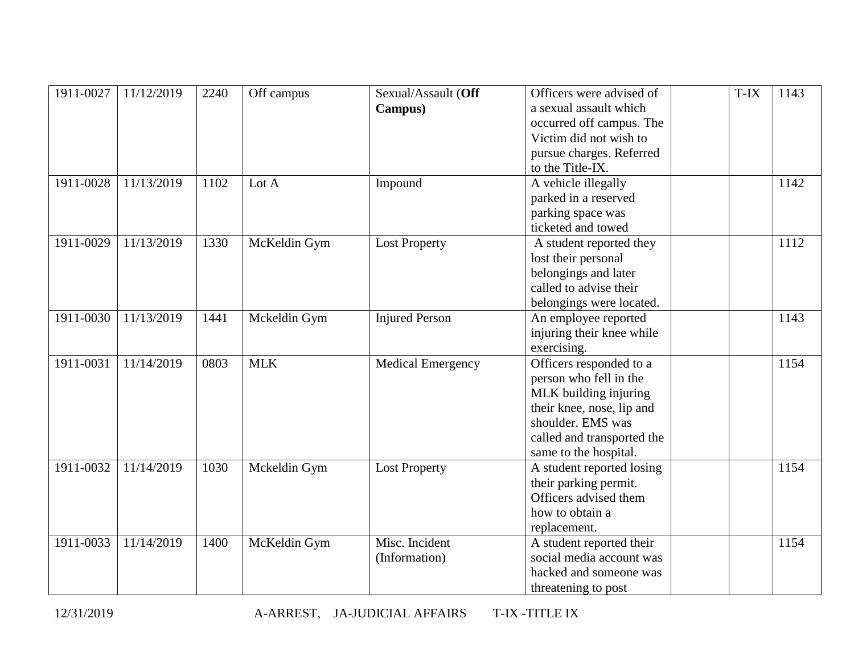| 1911-0027 | 11/12/2019 | 2240 | Off campus   | Sexual/Assault (Off<br>Campus)  | Officers were advised of<br>a sexual assault which<br>occurred off campus. The<br>Victim did not wish to<br>pursue charges. Referred<br>to the Title-IX.                            | T-IX | 1143 |
|-----------|------------|------|--------------|---------------------------------|-------------------------------------------------------------------------------------------------------------------------------------------------------------------------------------|------|------|
| 1911-0028 | 11/13/2019 | 1102 | Lot A        | Impound                         | A vehicle illegally<br>parked in a reserved<br>parking space was<br>ticketed and towed                                                                                              |      | 1142 |
| 1911-0029 | 11/13/2019 | 1330 | McKeldin Gym | <b>Lost Property</b>            | A student reported they<br>lost their personal<br>belongings and later<br>called to advise their<br>belongings were located.                                                        |      | 1112 |
| 1911-0030 | 11/13/2019 | 1441 | Mckeldin Gym | <b>Injured Person</b>           | An employee reported<br>injuring their knee while<br>exercising.                                                                                                                    |      | 1143 |
| 1911-0031 | 11/14/2019 | 0803 | <b>MLK</b>   | <b>Medical Emergency</b>        | Officers responded to a<br>person who fell in the<br>MLK building injuring<br>their knee, nose, lip and<br>shoulder. EMS was<br>called and transported the<br>same to the hospital. |      | 1154 |
| 1911-0032 | 11/14/2019 | 1030 | Mckeldin Gym | <b>Lost Property</b>            | A student reported losing<br>their parking permit.<br>Officers advised them<br>how to obtain a<br>replacement.                                                                      |      | 1154 |
| 1911-0033 | 11/14/2019 | 1400 | McKeldin Gym | Misc. Incident<br>(Information) | A student reported their<br>social media account was<br>hacked and someone was<br>threatening to post                                                                               |      | 1154 |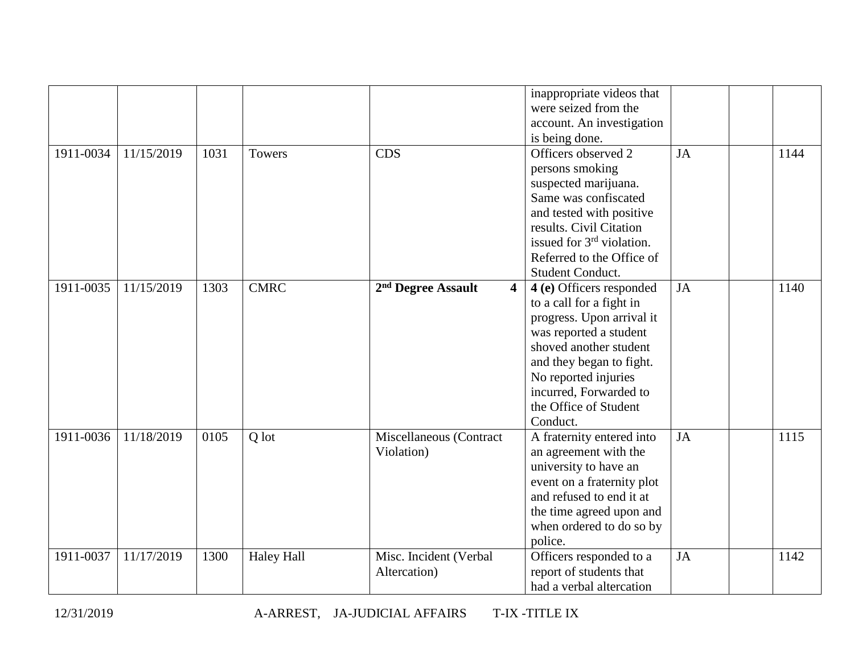|           |            |      |                   |                                                           | inappropriate videos that<br>were seized from the<br>account. An investigation<br>is being done.                                                                                                                                                         |    |      |
|-----------|------------|------|-------------------|-----------------------------------------------------------|----------------------------------------------------------------------------------------------------------------------------------------------------------------------------------------------------------------------------------------------------------|----|------|
| 1911-0034 | 11/15/2019 | 1031 | <b>Towers</b>     | <b>CDS</b>                                                | Officers observed 2<br>persons smoking<br>suspected marijuana.<br>Same was confiscated<br>and tested with positive<br>results. Civil Citation<br>issued for 3 <sup>rd</sup> violation.<br>Referred to the Office of<br>Student Conduct.                  | JA | 1144 |
| 1911-0035 | 11/15/2019 | 1303 | <b>CMRC</b>       | 2 <sup>nd</sup> Degree Assault<br>$\overline{\mathbf{4}}$ | 4 (e) Officers responded<br>to a call for a fight in<br>progress. Upon arrival it<br>was reported a student<br>shoved another student<br>and they began to fight.<br>No reported injuries<br>incurred, Forwarded to<br>the Office of Student<br>Conduct. | JA | 1140 |
| 1911-0036 | 11/18/2019 | 0105 | Q lot             | Miscellaneous (Contract<br>Violation)                     | A fraternity entered into<br>an agreement with the<br>university to have an<br>event on a fraternity plot<br>and refused to end it at<br>the time agreed upon and<br>when ordered to do so by<br>police.                                                 | JA | 1115 |
| 1911-0037 | 11/17/2019 | 1300 | <b>Haley Hall</b> | Misc. Incident (Verbal<br>Altercation)                    | Officers responded to a<br>report of students that<br>had a verbal altercation                                                                                                                                                                           | JA | 1142 |

12/31/2019 A-ARREST, JA-JUDICIAL AFFAIRS T-IX -TITLE IX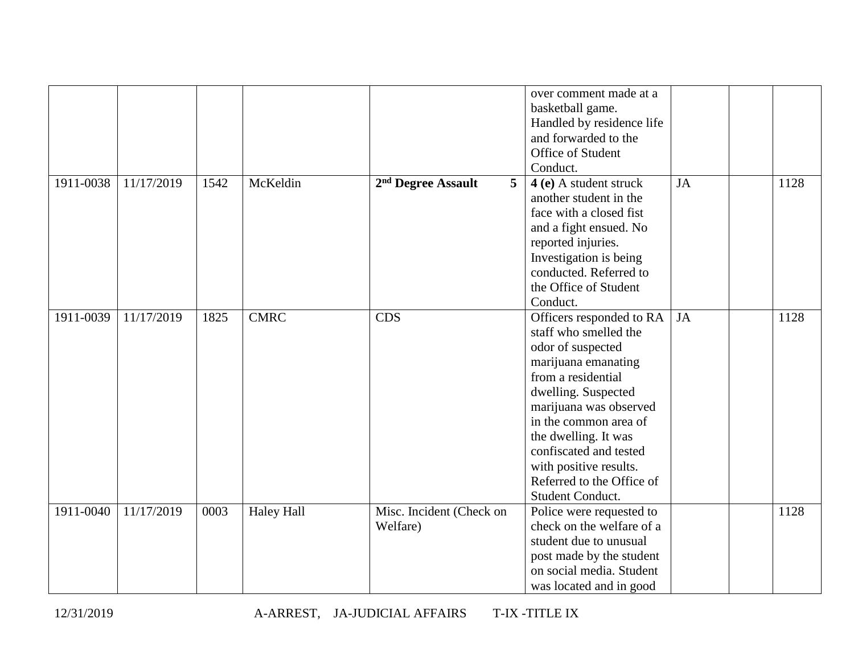|           |            |      |                   |                                      | over comment made at a<br>basketball game.<br>Handled by residence life<br>and forwarded to the<br>Office of Student<br>Conduct.                                                                                                                                                                                           |    |      |
|-----------|------------|------|-------------------|--------------------------------------|----------------------------------------------------------------------------------------------------------------------------------------------------------------------------------------------------------------------------------------------------------------------------------------------------------------------------|----|------|
| 1911-0038 | 11/17/2019 | 1542 | McKeldin          | 5<br>2 <sup>nd</sup> Degree Assault  | 4 (e) A student struck<br>another student in the<br>face with a closed fist<br>and a fight ensued. No<br>reported injuries.<br>Investigation is being<br>conducted. Referred to<br>the Office of Student<br>Conduct.                                                                                                       | JA | 1128 |
| 1911-0039 | 11/17/2019 | 1825 | <b>CMRC</b>       | <b>CDS</b>                           | Officers responded to RA<br>staff who smelled the<br>odor of suspected<br>marijuana emanating<br>from a residential<br>dwelling. Suspected<br>marijuana was observed<br>in the common area of<br>the dwelling. It was<br>confiscated and tested<br>with positive results.<br>Referred to the Office of<br>Student Conduct. | JA | 1128 |
| 1911-0040 | 11/17/2019 | 0003 | <b>Haley Hall</b> | Misc. Incident (Check on<br>Welfare) | Police were requested to<br>check on the welfare of a<br>student due to unusual<br>post made by the student<br>on social media. Student<br>was located and in good                                                                                                                                                         |    | 1128 |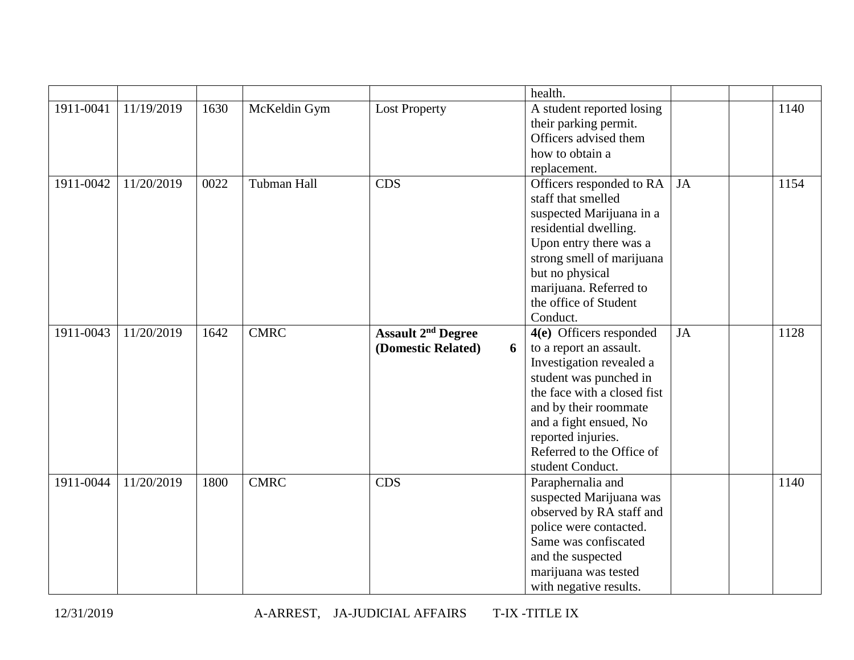|           |            |      |                    |                           | health.                     |           |      |
|-----------|------------|------|--------------------|---------------------------|-----------------------------|-----------|------|
| 1911-0041 | 11/19/2019 | 1630 | McKeldin Gym       | <b>Lost Property</b>      | A student reported losing   |           | 1140 |
|           |            |      |                    |                           | their parking permit.       |           |      |
|           |            |      |                    |                           | Officers advised them       |           |      |
|           |            |      |                    |                           | how to obtain a             |           |      |
|           |            |      |                    |                           | replacement.                |           |      |
| 1911-0042 | 11/20/2019 | 0022 | <b>Tubman Hall</b> | <b>CDS</b>                | Officers responded to RA    | JA        | 1154 |
|           |            |      |                    |                           | staff that smelled          |           |      |
|           |            |      |                    |                           | suspected Marijuana in a    |           |      |
|           |            |      |                    |                           | residential dwelling.       |           |      |
|           |            |      |                    |                           | Upon entry there was a      |           |      |
|           |            |      |                    |                           | strong smell of marijuana   |           |      |
|           |            |      |                    |                           | but no physical             |           |      |
|           |            |      |                    |                           | marijuana. Referred to      |           |      |
|           |            |      |                    |                           | the office of Student       |           |      |
|           |            |      |                    |                           | Conduct.                    |           |      |
| 1911-0043 | 11/20/2019 | 1642 | <b>CMRC</b>        | <b>Assault 2nd Degree</b> | 4(e) Officers responded     | <b>JA</b> | 1128 |
|           |            |      |                    | (Domestic Related)<br>6   | to a report an assault.     |           |      |
|           |            |      |                    |                           | Investigation revealed a    |           |      |
|           |            |      |                    |                           | student was punched in      |           |      |
|           |            |      |                    |                           | the face with a closed fist |           |      |
|           |            |      |                    |                           | and by their roommate       |           |      |
|           |            |      |                    |                           | and a fight ensued, No      |           |      |
|           |            |      |                    |                           | reported injuries.          |           |      |
|           |            |      |                    |                           | Referred to the Office of   |           |      |
|           |            |      |                    |                           | student Conduct.            |           |      |
| 1911-0044 | 11/20/2019 | 1800 | <b>CMRC</b>        | <b>CDS</b>                | Paraphernalia and           |           | 1140 |
|           |            |      |                    |                           | suspected Marijuana was     |           |      |
|           |            |      |                    |                           | observed by RA staff and    |           |      |
|           |            |      |                    |                           | police were contacted.      |           |      |
|           |            |      |                    |                           | Same was confiscated        |           |      |
|           |            |      |                    |                           | and the suspected           |           |      |
|           |            |      |                    |                           | marijuana was tested        |           |      |
|           |            |      |                    |                           | with negative results.      |           |      |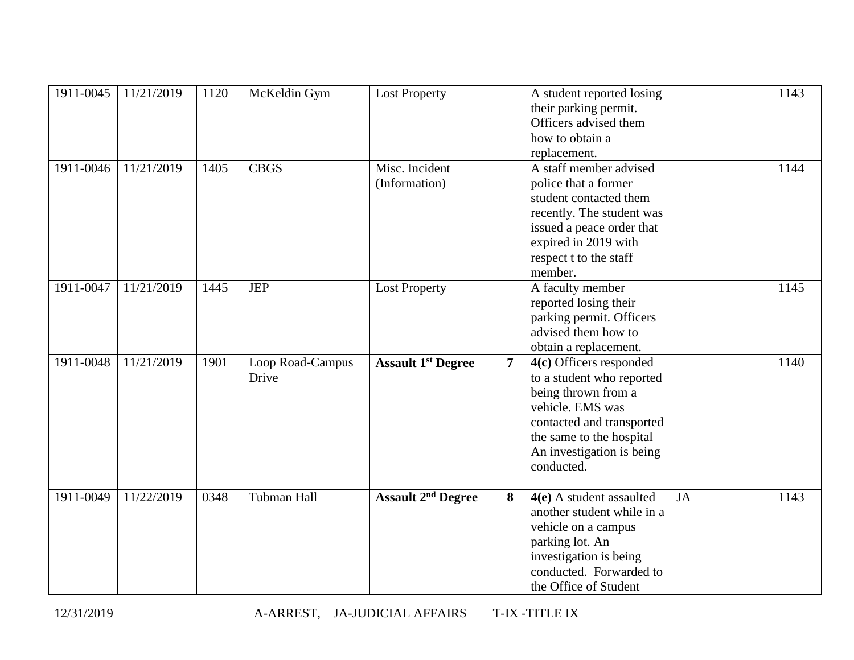| 1911-0045 | 11/21/2019 | 1120 | McKeldin Gym              | <b>Lost Property</b>                 |                | A student reported losing<br>their parking permit.<br>Officers advised them<br>how to obtain a<br>replacement.                                                                                      |           | 1143 |
|-----------|------------|------|---------------------------|--------------------------------------|----------------|-----------------------------------------------------------------------------------------------------------------------------------------------------------------------------------------------------|-----------|------|
| 1911-0046 | 11/21/2019 | 1405 | <b>CBGS</b>               | Misc. Incident<br>(Information)      |                | A staff member advised<br>police that a former<br>student contacted them<br>recently. The student was<br>issued a peace order that<br>expired in 2019 with<br>respect t to the staff<br>member.     |           | 1144 |
| 1911-0047 | 11/21/2019 | 1445 | <b>JEP</b>                | <b>Lost Property</b>                 |                | A faculty member<br>reported losing their<br>parking permit. Officers<br>advised them how to<br>obtain a replacement.                                                                               |           | 1145 |
| 1911-0048 | 11/21/2019 | 1901 | Loop Road-Campus<br>Drive | <b>Assault 1st Degree</b>            | $\overline{7}$ | 4(c) Officers responded<br>to a student who reported<br>being thrown from a<br>vehicle. EMS was<br>contacted and transported<br>the same to the hospital<br>An investigation is being<br>conducted. |           | 1140 |
| 1911-0049 | 11/22/2019 | 0348 | Tubman Hall               | <b>Assault 2<sup>nd</sup> Degree</b> | 8              | $4(e)$ A student assaulted<br>another student while in a<br>vehicle on a campus<br>parking lot. An<br>investigation is being<br>conducted. Forwarded to<br>the Office of Student                    | <b>JA</b> | 1143 |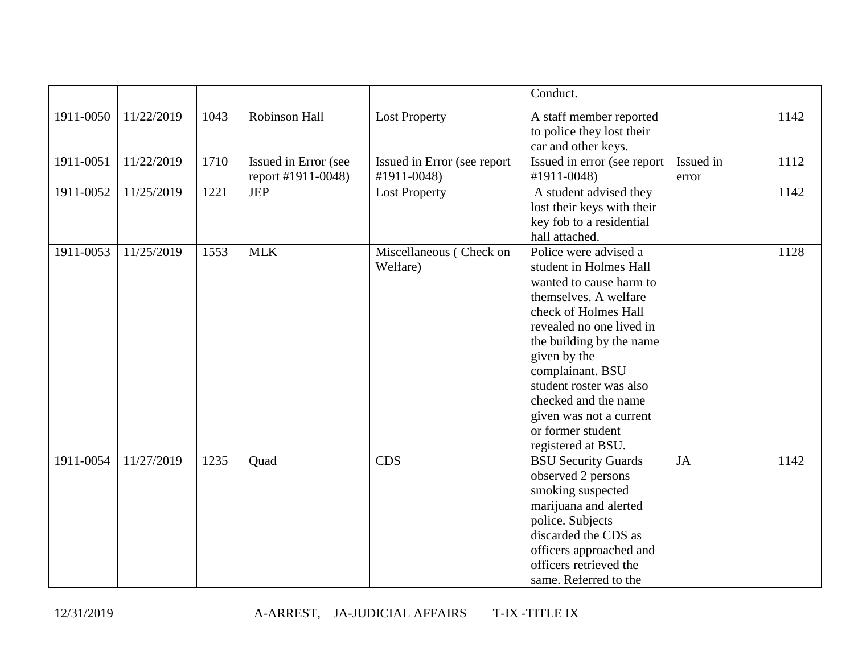|           |            |      |                                            |                                            | Conduct.                                                                                                                                                                                                                                                                                                                                         |                    |      |
|-----------|------------|------|--------------------------------------------|--------------------------------------------|--------------------------------------------------------------------------------------------------------------------------------------------------------------------------------------------------------------------------------------------------------------------------------------------------------------------------------------------------|--------------------|------|
| 1911-0050 | 11/22/2019 | 1043 | Robinson Hall                              | <b>Lost Property</b>                       | A staff member reported<br>to police they lost their<br>car and other keys.                                                                                                                                                                                                                                                                      |                    | 1142 |
| 1911-0051 | 11/22/2019 | 1710 | Issued in Error (see<br>report #1911-0048) | Issued in Error (see report<br>#1911-0048) | Issued in error (see report<br>#1911-0048)                                                                                                                                                                                                                                                                                                       | Issued in<br>error | 1112 |
| 1911-0052 | 11/25/2019 | 1221 | <b>JEP</b>                                 | <b>Lost Property</b>                       | A student advised they<br>lost their keys with their<br>key fob to a residential<br>hall attached.                                                                                                                                                                                                                                               |                    | 1142 |
| 1911-0053 | 11/25/2019 | 1553 | <b>MLK</b>                                 | Miscellaneous (Check on<br>Welfare)        | Police were advised a<br>student in Holmes Hall<br>wanted to cause harm to<br>themselves. A welfare<br>check of Holmes Hall<br>revealed no one lived in<br>the building by the name<br>given by the<br>complainant. BSU<br>student roster was also<br>checked and the name<br>given was not a current<br>or former student<br>registered at BSU. |                    | 1128 |
| 1911-0054 | 11/27/2019 | 1235 | Quad                                       | <b>CDS</b>                                 | <b>BSU Security Guards</b><br>observed 2 persons<br>smoking suspected<br>marijuana and alerted<br>police. Subjects<br>discarded the CDS as<br>officers approached and<br>officers retrieved the<br>same. Referred to the                                                                                                                         | JA                 | 1142 |